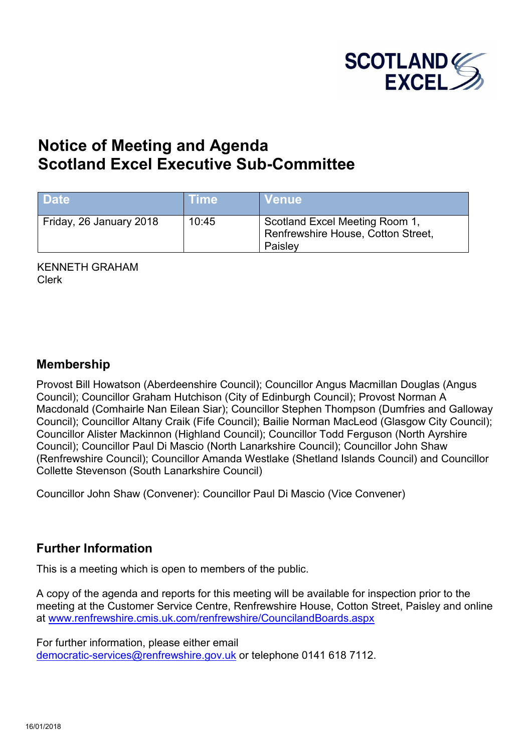

# **Notice of Meeting and Agenda S[cotland Excel Executive Sub-Committee](http://www.renfrewshire.cmis.uk.com/renfrewshire/CouncilandBoards.aspx)**

| <b>Date</b>             | Time  | <b>Venue</b>                                                                    |
|-------------------------|-------|---------------------------------------------------------------------------------|
| Friday, 26 January 2018 | 10:45 | Scotland Excel Meeting Room 1,<br>Renfrewshire House, Cotton Street,<br>Paisley |

KENNETH GRAHAM Clerk

#### **Membership**

Provost Bill Howatson (Aberdeenshire Council); Councillor Angus Macmillan Douglas (Angus Council); Councillor Graham Hutchison (City of Edinburgh Council); Provost Norman A Macdonald (Comhairle Nan Eilean Siar); Councillor Stephen Thompson (Dumfries and Galloway Council); Councillor Altany Craik (Fife Council); Bailie Norman MacLeod (Glasgow City Council); Councillor Alister Mackinnon (Highland Council); Councillor Todd Ferguson (North Ayrshire Council); Councillor Paul Di Mascio (North Lanarkshire Council); Councillor John Shaw (Renfrewshire Council); Councillor Amanda Westlake (Shetland Islands Council) and Councillor Collette Stevenson (South Lanarkshire Council)

Councillor John Shaw (Convener): Councillor Paul Di Mascio (Vice Convener)

### **Further Information**

This is a meeting which is open to members of the public.

A copy of the agenda and reports for this meeting will be available for inspection prior to the meeting at the Customer Service Centre, Renfrewshire House, Cotton Street, Paisley and online at www.renfrewshire.cmis.uk.com/renfrewshire/CouncilandBoards.aspx

For further information, please either email [democratic-services@renfrewshire.gov.uk](mailto:democratic-services@renfrewshire.gov.uk) or telephone 0141 618 7112.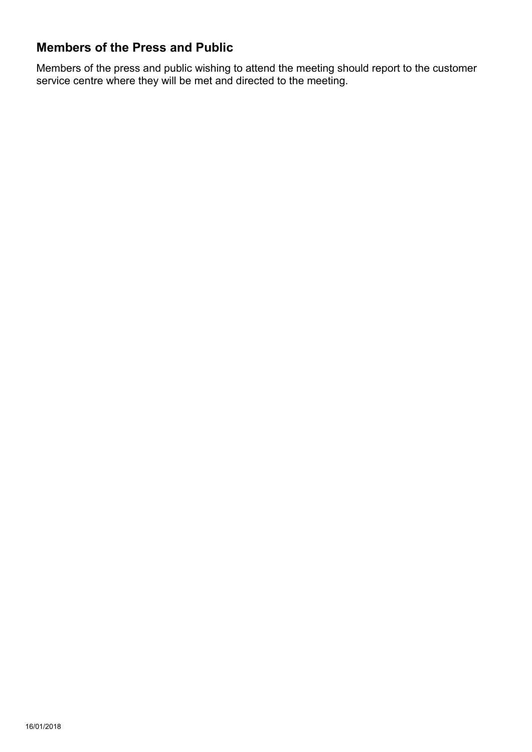## **Members of the Press and Public**

Members of the press and public wishing to attend the meeting should report to the customer service centre where they will be met and directed to the meeting.